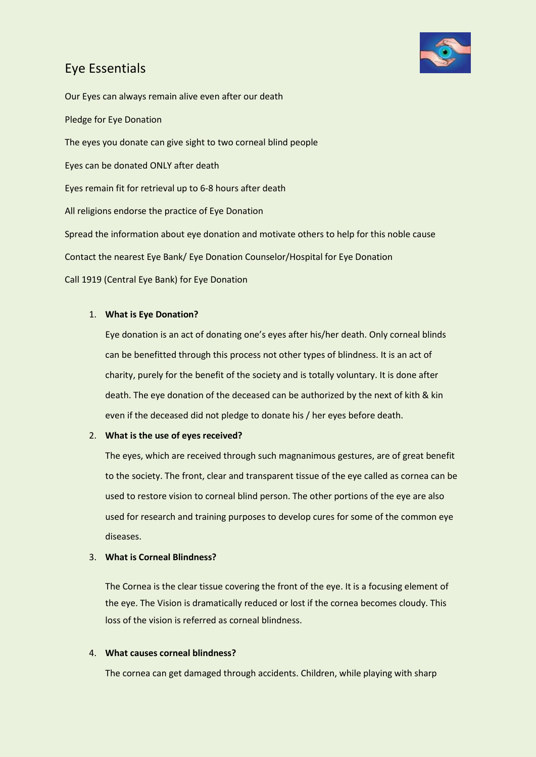

Our Eyes can always remain alive even after our death Pledge for Eye Donation The eyes you donate can give sight to two corneal blind people Eyes can be donated ONLY after death Eyes remain fit for retrieval up to 6-8 hours after death All religions endorse the practice of Eye Donation Spread the information about eye donation and motivate others to help for this noble cause Contact the nearest Eye Bank/ Eye Donation Counselor/Hospital for Eye Donation Call 1919 (Central Eye Bank) for Eye Donation

## 1. **What is Eye Donation?**

Eye donation is an act of donating one's eyes after his/her death. Only corneal blinds can be benefitted through this process not other types of blindness. It is an act of charity, purely for the benefit of the society and is totally voluntary. It is done after death. The eye donation of the deceased can be authorized by the next of kith & kin even if the deceased did not pledge to donate his / her eyes before death.

### 2. **What is the use of eyes received?**

The eyes, which are received through such magnanimous gestures, are of great benefit to the society. The front, clear and transparent tissue of the eye called as cornea can be used to restore vision to corneal blind person. The other portions of the eye are also used for research and training purposes to develop cures for some of the common eye diseases.

### 3. **What is Corneal Blindness?**

The Cornea is the clear tissue covering the front of the eye. It is a focusing element of the eye. The Vision is dramatically reduced or lost if the cornea becomes cloudy. This loss of the vision is referred as corneal blindness.

### 4. **What causes corneal blindness?**

The cornea can get damaged through accidents. Children, while playing with sharp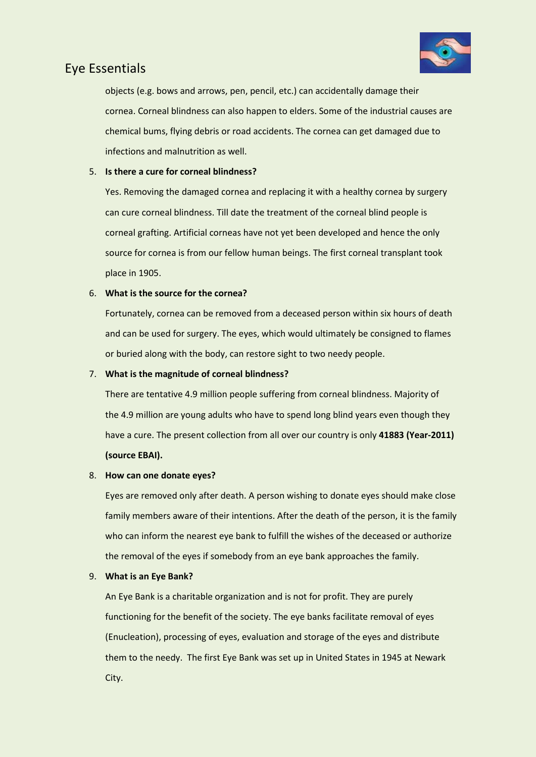

objects (e.g. bows and arrows, pen, pencil, etc.) can accidentally damage their cornea. Corneal blindness can also happen to elders. Some of the industrial causes are chemical bums, flying debris or road accidents. The cornea can get damaged due to infections and malnutrition as well.

### 5. **Is there a cure for corneal blindness?**

Yes. Removing the damaged cornea and replacing it with a healthy cornea by surgery can cure corneal blindness. Till date the treatment of the corneal blind people is corneal grafting. Artificial corneas have not yet been developed and hence the only source for cornea is from our fellow human beings. The first corneal transplant took place in 1905.

### 6. **What is the source for the cornea?**

Fortunately, cornea can be removed from a deceased person within six hours of death and can be used for surgery. The eyes, which would ultimately be consigned to flames or buried along with the body, can restore sight to two needy people.

### 7. **What is the magnitude of corneal blindness?**

There are tentative 4.9 million people suffering from corneal blindness. Majority of the 4.9 million are young adults who have to spend long blind years even though they have a cure. The present collection from all over our country is only **41883 (Year-2011) (source EBAI).**

### 8. **How can one donate eyes?**

Eyes are removed only after death. A person wishing to donate eyes should make close family members aware of their intentions. After the death of the person, it is the family who can inform the nearest eye bank to fulfill the wishes of the deceased or authorize the removal of the eyes if somebody from an eye bank approaches the family.

### 9. **What is an Eye Bank?**

An Eye Bank is a charitable organization and is not for profit. They are purely functioning for the benefit of the society. The eye banks facilitate removal of eyes (Enucleation), processing of eyes, evaluation and storage of the eyes and distribute them to the needy. The first Eye Bank was set up in United States in 1945 at Newark City.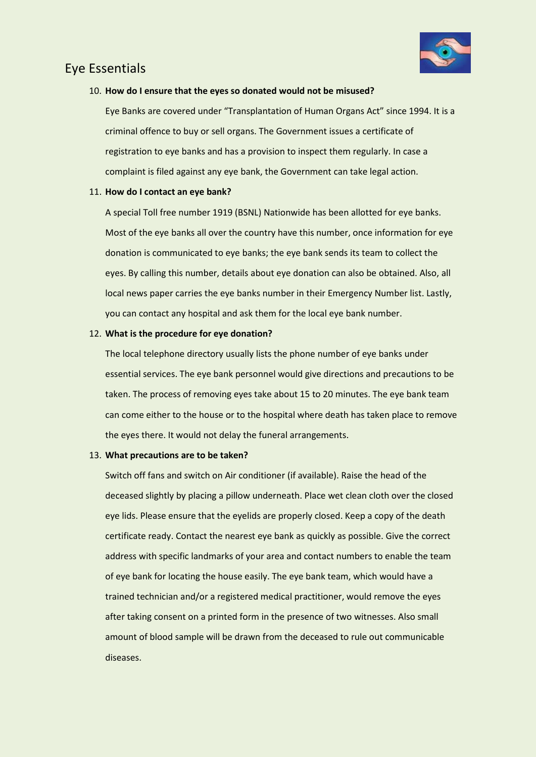

### 10. **How do I ensure that the eyes so donated would not be misused?**

Eye Banks are covered under "Transplantation of Human Organs Act" since 1994. It is a criminal offence to buy or sell organs. The Government issues a certificate of registration to eye banks and has a provision to inspect them regularly. In case a complaint is filed against any eye bank, the Government can take legal action.

### 11. **How do I contact an eye bank?**

A special Toll free number 1919 (BSNL) Nationwide has been allotted for eye banks. Most of the eye banks all over the country have this number, once information for eye donation is communicated to eye banks; the eye bank sends its team to collect the eyes. By calling this number, details about eye donation can also be obtained. Also, all local news paper carries the eye banks number in their Emergency Number list. Lastly, you can contact any hospital and ask them for the local eye bank number.

### 12. **What is the procedure for eye donation?**

The local telephone directory usually lists the phone number of eye banks under essential services. The eye bank personnel would give directions and precautions to be taken. The process of removing eyes take about 15 to 20 minutes. The eye bank team can come either to the house or to the hospital where death has taken place to remove the eyes there. It would not delay the funeral arrangements.

#### 13. **What precautions are to be taken?**

Switch off fans and switch on Air conditioner (if available). Raise the head of the deceased slightly by placing a pillow underneath. Place wet clean cloth over the closed eye lids. Please ensure that the eyelids are properly closed. Keep a copy of the death certificate ready. Contact the nearest eye bank as quickly as possible. Give the correct address with specific landmarks of your area and contact numbers to enable the team of eye bank for locating the house easily. The eye bank team, which would have a trained technician and/or a registered medical practitioner, would remove the eyes after taking consent on a printed form in the presence of two witnesses. Also small amount of blood sample will be drawn from the deceased to rule out communicable diseases.